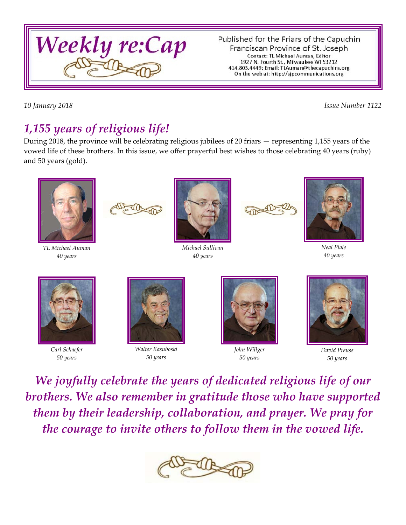

Published for the Friars of the Capuchin Franciscan Province of St. Joseph Contact: TL Michael Auman, Editor 1927 N. Fourth St., Milwaukee WI 53212 414.803.4449; Email: TLAuman@thecapuchins.org On the web at: http://sjpcommunications.org

*10 January 2018 Issue Number 1122*

# *1,155 years of religious life!*

During 2018, the province will be celebrating religious jubilees of 20 friars — representing 1,155 years of the vowed life of these brothers. In this issue, we offer prayerful best wishes to those celebrating 40 years (ruby) and 50 years (gold).



*TL Michael Auman 40 years*



*Michael Sullivan 40 years*



*Neal Plale 40 years*



*Carl Schaefer 50 years*



*Walter Kasuboski 50 years*



*John Willger 50 years*



*David Preuss 50 years*

*We joyfully celebrate the years of dedicated religious life of our brothers. We also remember in gratitude those who have supported them by their leadership, collaboration, and prayer. We pray for the courage to invite others to follow them in the vowed life.*

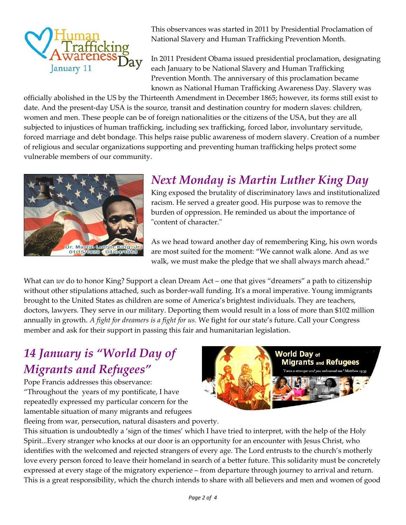

This observances was started in 2011 by Presidential Proclamation of National Slavery and Human Trafficking Prevention Month.

In 2011 President Obama issued presidential proclamation, designating each January to be National Slavery and Human Trafficking Prevention Month. The anniversary of this proclamation became known as National Human Trafficking Awareness Day. Slavery was

officially abolished in the US by the Thirteenth Amendment in December 1865; however, its forms still exist to date. And the present-day USA is the source, transit and destination country for modern slaves: children, women and men. These people can be of foreign nationalities or the citizens of the USA, but they are all subjected to injustices of human trafficking, including sex trafficking, forced labor, involuntary servitude, forced marriage and debt bondage. This helps raise public awareness of modern slavery. Creation of a number of religious and secular organizations supporting and preventing human trafficking helps protect some vulnerable members of our community.



## *Next Monday is Martin Luther King Day*

King exposed the brutality of discriminatory laws and institutionalized racism. He served a greater good. His purpose was to remove the burden of oppression. He reminded us about the importance of "content of character."

As we head toward another day of remembering King, his own words are most suited for the moment: "We cannot walk alone. And as we walk, we must make the pledge that we shall always march ahead."

What can *we* do to honor King? Support a clean Dream Act – one that gives "dreamers" a path to citizenship without other stipulations attached, such as border-wall funding. It's a moral imperative. Young immigrants brought to the United States as children are some of America's brightest individuals. They are teachers, doctors, lawyers. They serve in our military. Deporting them would result in a loss of more than \$102 million annually in growth. *A fight for dreamers is a fight for us.* We fight for our state's future. Call your Congress member and ask for their support in passing this fair and humanitarian legislation.

# *14 January is "World Day of Migrants and Refugees"*

Pope Francis addresses this observance: "Throughout the years of my pontificate, I have repeatedly expressed my particular concern for the lamentable situation of many migrants and refugees fleeing from war, persecution, natural disasters and poverty.



This situation is undoubtedly a 'sign of the times' which I have tried to interpret, with the help of the Holy Spirit...Every stranger who knocks at our door is an opportunity for an encounter with Jesus Christ, who identifies with the welcomed and rejected strangers of every age. The Lord entrusts to the church's motherly love every person forced to leave their homeland in search of a better future. This solidarity must be concretely expressed at every stage of the migratory experience – from departure through journey to arrival and return. This is a great responsibility, which the church intends to share with all believers and men and women of good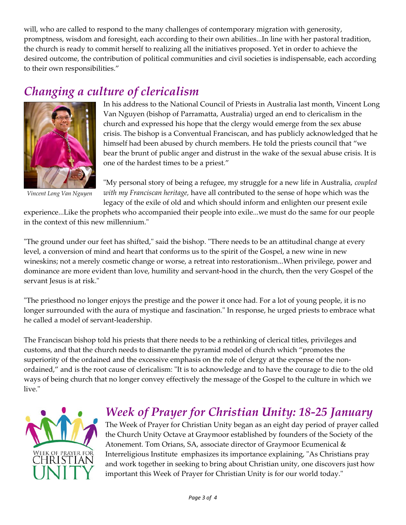will, who are called to respond to the many challenges of contemporary migration with generosity, promptness, wisdom and foresight, each according to their own abilities...In line with her pastoral tradition, the church is ready to commit herself to realizing all the initiatives proposed. Yet in order to achieve the desired outcome, the contribution of political communities and civil societies is indispensable, each according to their own responsibilities."

## *Changing a culture of clericalism*



*Vincent Long Van Nguyen*

In his address to the National Council of Priests in Australia last month, Vincent Long Van Nguyen (bishop of Parramatta, Australia) urged an end to clericalism in the church and expressed his hope that the clergy would emerge from the sex abuse crisis. The bishop is a Conventual Franciscan, and has publicly acknowledged that he himself had been abused by church members. He told the priests council that "we bear the brunt of public anger and distrust in the wake of the sexual abuse crisis. It is one of the hardest times to be a priest."

"My personal story of being a refugee, my struggle for a new life in Australia, *coupled with my Franciscan heritage,* have all contributed to the sense of hope which was the legacy of the exile of old and which should inform and enlighten our present exile

experience...Like the prophets who accompanied their people into exile...we must do the same for our people in the context of this new millennium."

"The ground under our feet has shifted," said the bishop. "There needs to be an attitudinal change at every level, a conversion of mind and heart that conforms us to the spirit of the Gospel, a new wine in new wineskins; not a merely cosmetic change or worse, a retreat into restorationism...When privilege, power and dominance are more evident than love, humility and servant-hood in the church, then the very Gospel of the servant Jesus is at risk."

"The priesthood no longer enjoys the prestige and the power it once had. For a lot of young people, it is no longer surrounded with the aura of mystique and fascination." In response, he urged priests to embrace what he called a model of servant-leadership.

The Franciscan bishop told his priests that there needs to be a rethinking of clerical titles, privileges and customs, and that the church needs to dismantle the pyramid model of church which "promotes the superiority of the ordained and the excessive emphasis on the role of clergy at the expense of the nonordained," and is the root cause of clericalism: "It is to acknowledge and to have the courage to die to the old ways of being church that no longer convey effectively the message of the Gospel to the culture in which we live."



### *Week of Prayer for Christian Unity: 18-25 January*

The Week of Prayer for Christian Unity began as an eight day period of prayer called the Church Unity Octave at Graymoor established by founders of the Society of the Atonement. Tom Orians, SA, associate director of Graymoor Ecumenical & Interreligious Institute emphasizes its importance explaining, "As Christians pray and work together in seeking to bring about Christian unity, one discovers just how important this Week of Prayer for Christian Unity is for our world today."